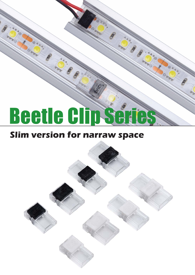# Beetle Clip Serie

## **Slim version for narraw space**

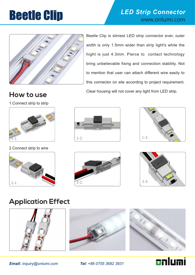

## **Beetle Clip External Strip Connector**



Beetle Clip is slimest LED strip connector ever, outer width is only 1.5mm wider than strip light's while the hight is just 4.3mm. Pierce to contact technology bring unbelievable fixing and connection stability. Not to mention that user can attach different wire easily to this connector on site according to project requirement. Clear housing will not cover any light from LED strip. **How to use**

1.Connect strip to strip



#### 2.Connect strip to wire











### **Application Effect**